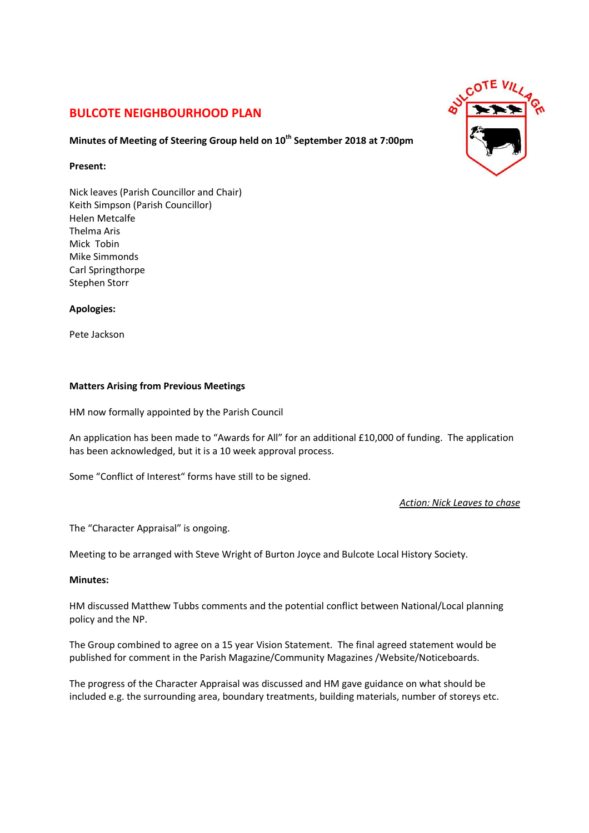# **BULCOTE NEIGHBOURHOOD PLAN**

### **Minutes of Meeting of Steering Group held on 10th September 2018 at 7:00pm**

### **Present:**

Nick leaves (Parish Councillor and Chair) Keith Simpson (Parish Councillor) Helen Metcalfe Thelma Aris Mick Tobin Mike Simmonds Carl Springthorpe Stephen Storr

#### **Apologies:**

Pete Jackson

#### **Matters Arising from Previous Meetings**

HM now formally appointed by the Parish Council

An application has been made to "Awards for All" for an additional £10,000 of funding. The application has been acknowledged, but it is a 10 week approval process.

Some "Conflict of Interest" forms have still to be signed.

*Action: Nick Leaves to chase* 

The "Character Appraisal" is ongoing.

Meeting to be arranged with Steve Wright of Burton Joyce and Bulcote Local History Society.

#### **Minutes:**

HM discussed Matthew Tubbs comments and the potential conflict between National/Local planning policy and the NP.

The Group combined to agree on a 15 year Vision Statement. The final agreed statement would be published for comment in the Parish Magazine/Community Magazines /Website/Noticeboards.

The progress of the Character Appraisal was discussed and HM gave guidance on what should be included e.g. the surrounding area, boundary treatments, building materials, number of storeys etc.